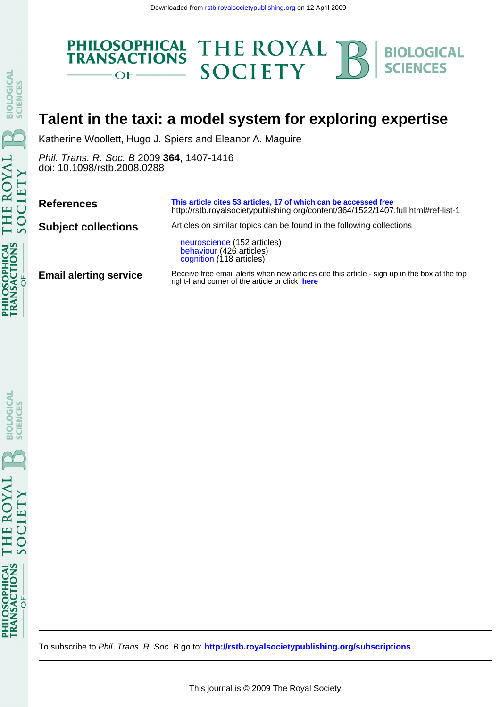

## **Talent in the taxi: a model system for exploring expertise**

Katherine Woollett, Hugo J. Spiers and Eleanor A. Maguire

doi: 10.1098/rstb.2008.0288 Phil. Trans. R. Soc. B 2009 **364**, 1407-1416

| <b>References</b>             | This article cites 53 articles, 17 of which can be accessed free<br>http://rstb.royalsocietypublishing.org/content/364/1522/1407.full.html#ref-list-1 |
|-------------------------------|-------------------------------------------------------------------------------------------------------------------------------------------------------|
| <b>Subject collections</b>    | Articles on similar topics can be found in the following collections                                                                                  |
|                               | neuroscience (152 articles)<br>behaviour (426 articles)<br>cognition (118 articles)                                                                   |
| <b>Email alerting service</b> | Receive free email alerts when new articles cite this article - sign up in the box at the top<br>right-hand corner of the article or click here       |

To subscribe to Phil. Trans. R. Soc. B go to: **<http://rstb.royalsocietypublishing.org/subscriptions>**

**BIOLOGICAL**<br>SCIENCES

THE ROYAL

**PHILOSOPHICAL**<br>TRANSACTIONS ㅎ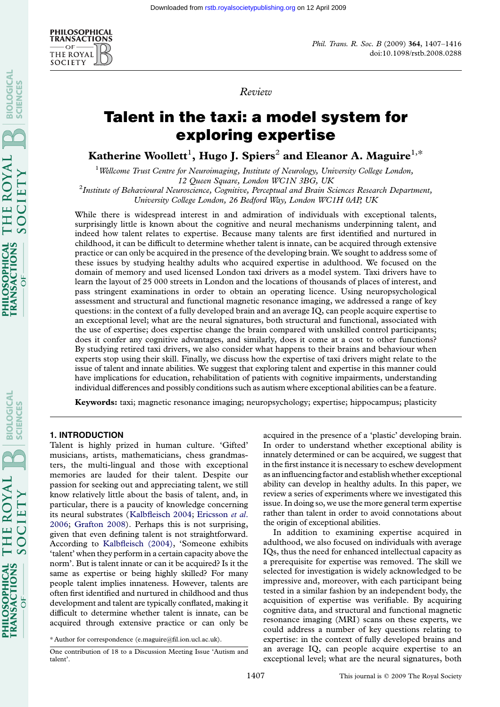**BIOLOGICAL SCIENCES** 

THE ROYAL **SOCIETY** 

PHILOSOPHICAL<br>TRANSACTIONS  $\overline{O}$ 

BIOLOGICAL<br>SCIENCES

THE ROYAL<br>SOCIETY

PHILOSOPHICAL<br>TRANSACTIONS  $\overline{0}$  Review

# Talent in the taxi: a model system for exploring expertise

Katherine Woollett $^1$ , Hugo J. Spiers $^2$  and Eleanor A. Maguire $^{1,\ast}$ 

<sup>1</sup> Wellcome Trust Centre for Neuroimaging, Institute of Neurology, University College London, 12 Queen Square, London WC1N 3BG, UK <sup>2</sup>

<sup>2</sup>Institute of Behavioural Neuroscience, Cognitive, Perceptual and Brain Sciences Research Department, University College London, 26 Bedford Way, London WC1H 0AP, UK

While there is widespread interest in and admiration of individuals with exceptional talents, surprisingly little is known about the cognitive and neural mechanisms underpinning talent, and indeed how talent relates to expertise. Because many talents are first identified and nurtured in childhood, it can be difficult to determine whether talent is innate, can be acquired through extensive practice or can only be acquired in the presence of the developing brain. We sought to address some of these issues by studying healthy adults who acquired expertise in adulthood. We focused on the domain of memory and used licensed London taxi drivers as a model system. Taxi drivers have to learn the layout of 25 000 streets in London and the locations of thousands of places of interest, and pass stringent examinations in order to obtain an operating licence. Using neuropsychological assessment and structural and functional magnetic resonance imaging, we addressed a range of key questions: in the context of a fully developed brain and an average IQ, can people acquire expertise to an exceptional level; what are the neural signatures, both structural and functional, associated with the use of expertise; does expertise change the brain compared with unskilled control participants; does it confer any cognitive advantages, and similarly, does it come at a cost to other functions? By studying retired taxi drivers, we also consider what happens to their brains and behaviour when experts stop using their skill. Finally, we discuss how the expertise of taxi drivers might relate to the issue of talent and innate abilities. We suggest that exploring talent and expertise in this manner could have implications for education, rehabilitation of patients with cognitive impairments, understanding individual differences and possibly conditions such as autism where exceptional abilities can be a feature.

Keywords: taxi; magnetic resonance imaging; neuropsychology; expertise; hippocampus; plasticity

### 1. INTRODUCTION

Talent is highly prized in human culture. 'Gifted' musicians, artists, mathematicians, chess grandmasters, the multi-lingual and those with exceptional memories are lauded for their talent. Despite our passion for seeking out and appreciating talent, we still know relatively little about the basis of talent, and, in particular, there is a paucity of knowledge concerning its neural substrates (Kalbfleisch 2004; Ericsson et al. 2006; Grafton 2008). Perhaps this is not surprising, given that even defining talent is not straightforward. According to Kalbfleisch (2004), 'Someone exhibits 'talent' when they perf[orm in a certain capacity above the](#page-9-0) [norm](#page-9-0)'. [But is talent in](#page-9-0)nate or can it be acquired? Is it the same as expertise or being highly skilled? For many people talent i[mplies innateness. H](#page-9-0)owever, talents are often first identified and nurtured in childhood and thus development and talent are typically conflated, making it difficult to determine whether talent is innate, can be acquired through extensive practice or can only be acquired in the presence of a 'plastic' developing brain. In order to understand whether exceptional ability is innately determined or can be acquired, we suggest that in the first instance it is necessary to eschew development as an influencing factor and establish whether exceptional ability can develop in healthy adults. In this paper, we review a series of experiments where we investigated this issue. In doing so, we use the more general term expertise rather than talent in order to avoid connotations about the origin of exceptional abilities.

In addition to examining expertise acquired in adulthood, we also focused on individuals with average IQs, thus the need for enhanced intellectual capacity as a prerequisite for expertise was removed. The skill we selected for investigation is widely acknowledged to be impressive and, moreover, with each participant being tested in a similar fashion by an independent body, the acquisition of expertise was verifiable. By acquiring cognitive data, and structural and functional magnetic resonance imaging (MRI) scans on these experts, we could address a number of key questions relating to expertise: in the context of fully developed brains and an average IQ, can people acquire expertise to an exceptional level; what are the neural signatures, both

<sup>\*</sup> Author for correspondence (e.maguire@fil.ion.ucl.ac.uk).

One contribution of 18 to a Discussion Meeting Issue 'Autism and talent'.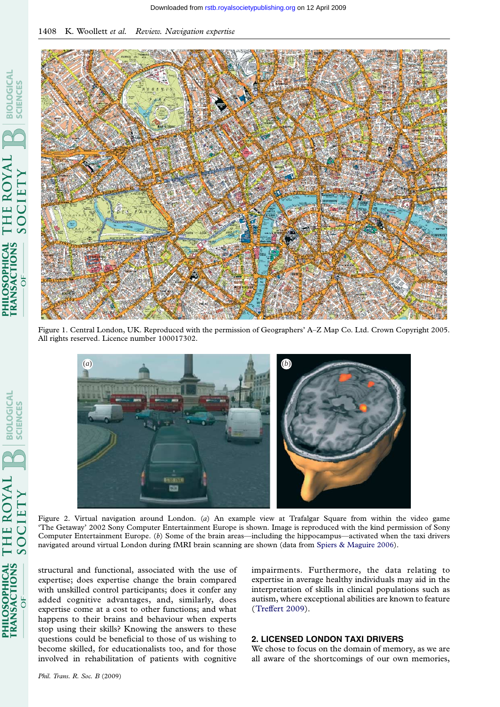<span id="page-2-0"></span>

Figure 1. Central London, UK. Reproduced with the permission of Geographers' A–Z Map Co. Ltd. Crown Copyright 2005. All rights reserved. Licence number 100017302.



Figure 2. Virtual navigation around London. (a) An example view at Trafalgar Square from within the video game 'The Getaway' 2002 Sony Computer Entertainment Europe is shown. Image is reproduced with the kind permission of Sony Computer Entertainment Europe. (b) Some of the brain areas—including the hippocampus—activated when the taxi drivers navigated around virtual London during fMRI brain scanning are shown (data from Spiers & Maguire 2006).

structural and functional, associated with the use of expertise; does expertise change the brain compared with unskilled control participants; does it confer any added cognitive advantages, and, similarly, does expertise come at a cost to other functions; and what happens to their brains and behaviour when experts stop using their skills? Knowing the answers to these questions could be beneficial to those of us wishing to become skilled, for educationalists too, and for those involved in rehabilitation of patients with cognitive

impairments. Furthermore, the data relating to expertise in average healthy individuals may aid in the interpretation of [skills](#page-10-0) [in](#page-10-0) [clinical](#page-10-0) [popu](#page-10-0)lations such as autism, where exceptional abilities are known to feature (Treffert 2009).

#### 2. LICENSED LONDON TAXI DRIVERS

[We chose to fo](#page-10-0)cus on the domain of memory, as we are all aware of the shortcomings of our own memories,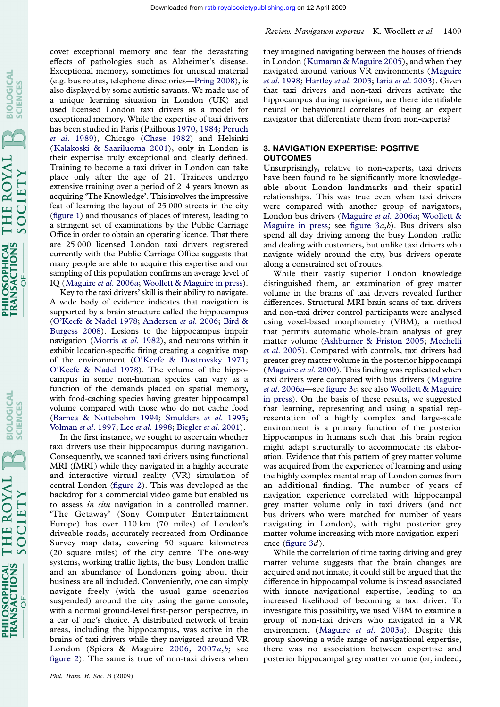**BIOLOGICAL**<br>SCIENCES THE ROYAL **PHILOSOPHICAL**<br>TRANSACTIONS  $\overline{OC}$ 

covet exceptional memory and fear the [devastating](http://rstb.royalsocietypublishing.org/) effects of pathologies such as Alzheimer's disease. Exceptional memory, sometimes for unusual material (e.g. bus routes, telephone directories—Pring 2008), is also displayed by some autistic savants. We made use of a unique learning situation in London (UK) and used licensed London taxi drivers as a model for exceptional memory. While the expertis[e of taxi driv](#page-9-0)ers has been studied in Paris (Pailhous 1970, 1984; Peruch et al. 1989), Chicago (Chase 1982) and Helsinki (Kalakoski & Saariluoma 2001), only in London is their expertise truly exceptional and clearly defined. Training to become a taxi driver i[n London can take](#page-9-0) [place only](#page-9-0) after the ag[e of 21. Tr](#page-8-0)ainees undergo e[xtensive training over a period o](#page-9-0)f 2–4 years known as acquiring 'The Knowledge'. This involves the impressive feat of learning the layout of 25 000 streets in the city (figure 1) and thousands of places of interest, leading to a stringent set of examinations by the Public Carriage Office in order to obtain an operating licence. That there are 25 000 licensed London taxi drivers registered [currently](#page-2-0) with the Public Carriage Office suggests that many people are able to acquire this expertise and our sampling of this population confirms an average level of IQ (Maguire et al. 2006a; Woollett & Maguire in press).

Key to the taxi drivers' skill is their ability to navigate. A wide body of evidence indicates that navigation is supported by a brain structure called the hippocampus (O'[Keefe & Nadel 1978;](#page-9-0) Andersen et al. 2006; Bird & Burgess 2008). Lesions [to](#page-10-0) [the](#page-10-0) [hippocampus](#page-10-0) [impai](#page-10-0)r navigation (Morris et al. 1982), and neurons within it exhibit location-specific firing creating a cognitive map [of the environment \(O](#page-9-0)['Keefe & Dostrovsky 1971;](#page-8-0) [O'Keefe & N](#page-8-0)adel 1978). The volume of the hippocampus in [some non-human](#page-9-0) species can vary as a function of the demands placed on spatial memory, with food-caching spe[cies having greater hippocampa](#page-9-0)l [volume compared with t](#page-9-0)hose who do not cache food (Barnea & Nottebohm 1994; Smulders et al. 1995; Volman et al. 1997; Lee et al. 1998; Biegler et al. 2001).

In the first instance, we sought to ascertain whether taxi drivers use their hippocampus during navigation. [Consequently, we scanned tax](#page-8-0)i [drivers using functiona](#page-10-0)l [MRI \(fMRI\) while](#page-10-0) [they navigated](#page-9-0) [in a highly accura](#page-8-0)te and interactive virtual reality (VR) simulation of central London (figure 2). This was developed as the backdrop for a commercial video game but enabled us to assess in situ navigation in a controlled manner. 'The Getaway' (Sony Computer Entertainment Europe) has ov[er 110 k](#page-2-0)m (70 miles) of London's driveable roads, accurately recreated from Ordinance Survey map data, covering 50 square kilometres (20 square miles) of the city centre. The one-way systems, working traffic lights, the busy London traffic and an abundance of Londoners going about their business are all included. Conveniently, one can simply navigate freely (with the usual game scenarios suspended) around the city using the game console, with a normal ground-level first-person perspective, in a car of one's choice. A distributed network of brain areas, including the hippocampus, was active in the brains of taxi drivers while they navigated around VR London (Spiers & Maguire 2006, 2007a,b; see figure 2). The same is true of non-taxi drivers when

they imagined navigating between the houses of friends in London (Kumaran & Maguire 2005), and when they navigated around various VR environments (Maguire et al. 1998; Hartley et al. 2003; Iaria et al. 2003). Given that taxi drivers and non-taxi drivers activate the hippocamp[us during navigation, are th](#page-9-0)ere identifiable neural or behavioural correlates of being a[n expert](#page-9-0) [navigator that differentiate them from non-exp](#page-9-0)erts?

#### 3. NAVIGATION EXPERTISE: POSITIVE **OUTCOMES**

Unsurprisingly, relative to non-experts, taxi drivers have been found to be significantly more knowledgeable about London landmarks and their spatial relationships. This was true even when taxi drivers were compared with another group of navigators, London bus drivers (Maguire et al. 2006a; Woollett & Maguire in press; see figure  $3a,b$ ). Bus drivers also spend all day driving among the busy London traffic and dealing with customers, but unlike taxi drivers who navigate widely arou[nd the city, bus driv](#page-9-0)[ers operate](#page-10-0) [along a constraine](#page-10-0)d set [of routes](#page-4-0).

While their vastly superior London knowledge distinguished them, an examination of grey matter volume in the brains of taxi drivers revealed further differences. Structural MRI brain scans of taxi drivers and non-taxi driver control participants were analysed using voxel-based morphometry (VBM), a method that permits automatic whole-brain analysis of grey matter volume (Ashburner & Friston 2005; Mechelli et al. 2005). Compared with controls, taxi drivers had greater grey matter volume in the posterior hippocampi (Maguire et al. 2000). This finding was replicated when taxi drivers were [compared with bus drivers](#page-8-0) ([Maguire](#page-9-0) *et al.* 2006a—see figure 3c; see also Woollett & Maguire [in](#page-9-0) [press\).](#page-9-0) [O](#page-9-0)n the basis of these results, we suggested t[hat learning, repre](#page-9-0)senting and using a spatial representation of a highly complex and la[rge-scale](#page-9-0) [environmen](#page-9-0)t is [a prima](#page-4-0)ry functi[on of the posterior](#page-10-0) [hippocam](#page-10-0)pus in humans such that this brain region might adapt structurally to accommodate its elaboration. Evidence that this pattern of grey matter volume was acquired from the experience of learning and using the highly complex mental map of London comes from an additional finding. The number of years of navigation experience correlated with hippocampal grey matter volume only in taxi drivers (and not bus drivers who were matched for number of years navigating in London), with right posterior grey matter volume increasing with more navigation experience (figure  $3d$ ).

While the correlation of time taxing driving and grey matter volume suggests that the brain changes are acquired and not innate, it could still be argued that the differ[ence in h](#page-4-0)ippocampal volume is instead associated with innate navigational expertise, leading to an increased likelihood of becoming a taxi driver. To investigate this possibility, we used VBM to examine a group of non-taxi drivers who navigated in a VR environment (Maguire et al. 2003a). Despite this group showing a wide range of navigational expertise, there was no association between expertise and posterior hippocampal grey matter volume (or, indeed,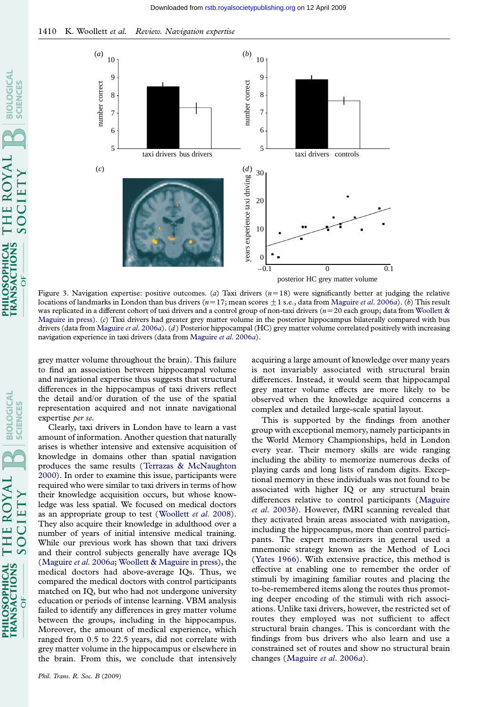**BIOLOGICAL**<br>SCIENCES

THE ROYAL

PHILOSOPHICAL<br>TRANSACTIONS  $\overline{O}$ 

S<sub>OC</sub>

<span id="page-4-0"></span>

Figure 3. Navigation expertise: positive outcomes. (a) Taxi drivers  $(n=18)$  were significantly better at judging the relative locations of landmarks in London than bus drivers ( $n=17$ ; mean scores  $\pm 1$  s.e., data from Maguire *et al.* 2006a). (b) This result was replicated in a different cohort of taxi drivers and a control group of non-taxi drivers ( $n=20$  each group; data from Woollett & Maguire in press). (c) Taxi drivers had greater grey matter volume in the posterior hippocampus bilaterally compared with bus drivers (data from Maguire et al. 2006a). (d) Posterior hippocampal (HC) grey matter volume correlated positively with increasing navigation experience in taxi drivers (data from Maguire et al. 2006a).

[grey matter vol](#page-10-0)ume throughout the brain). This failure to find an asso[ciation between h](#page-9-0)ippocampal volume and navigational expertise thus suggests t[hat structural](#page-9-0) differences in the hippocampus of taxi drivers reflect the detail and/or duration of the use of the spatial representation acquired and not innate navigational expertise *per se*.

Clearly, taxi drivers in London have to learn a vast amount of information. Another question that naturally arises is whether intensive and extensive acquisition of knowledge in domains other than spatial navigation produces the same results (Terrazas & McNaughton 2000). In order to examine this issue, participants were required who were similar to taxi drivers in terms of how their knowledge acquisition occurs, but whose knowledge was less spatial. We fo[cused on medical doctors](#page-10-0) [as an](#page-10-0) appropriate group to test (Woollett *et al.* 2008). They also acquire their knowledge in adulthood over a number of years of initial intensive medical training. While our previous work has shown that taxi drivers and their control subjects gener[ally have average IQ](#page-10-0)s (Maguire et al. 2006a; Woollett & Maguire in press), the medical doctors had above-average IQs. Thus, we compared the medical doctors with control participants matched on IQ, but who had not undergone university [education or periods](#page-9-0) [of intense learning. VBM ana](#page-10-0)lysis failed to identify any differences in grey matter volume between the groups, including in the hippocampus. Moreover, the amount of medical experience, which ranged from 0.5 to 22.5 years, did not correlate with grey matter volume in the hippocampus or elsewhere in the brain. From this, we conclude that intensively

Phil. Trans. R. Soc. B (2009)

acquiring a large amount of knowledge over [many](#page-10-0) [years](#page-10-0) is not invariably associated with structural brain differences. Instead, it would seem that hippocampal grey matter volume effects are more likely to be observed when the knowledge acquired concerns a complex and detailed large-scale spatial layout.

This is supported by the findings from another group with exceptional memory, namely participants in the World Memory Championships, held in London every year. Their memory skills are wide ranging including the ability to memorize numerous decks of playing cards and long lists of random digits. Exceptional memory in these individuals was not found to be associated with higher IQ or any structural brain differences relative to control participants (Maguire et al. 2003b). However, fMRI scanning revealed that they activated brain areas associated with navigation, including the hippocampus, more than control participants. The expert memorizers in general [used a](#page-9-0) [mnemonic](#page-9-0) strategy known as the Method of Loci (Yates 1966). With extensive practice, this method is effective at enabling one to remember the order of stimuli by imagining familiar routes and placing the to-be-remembered items along the routes thus promoti[ng deeper e](#page-10-0)ncoding of the stimuli with rich associations. Unlike taxi drivers, however, the restricted set of routes they employed was not sufficient to affect structural brain changes. This is concordant with the findings from bus drivers who also learn and use a constrained set of routes and show no structural brain changes (Maguire et al. 2006a).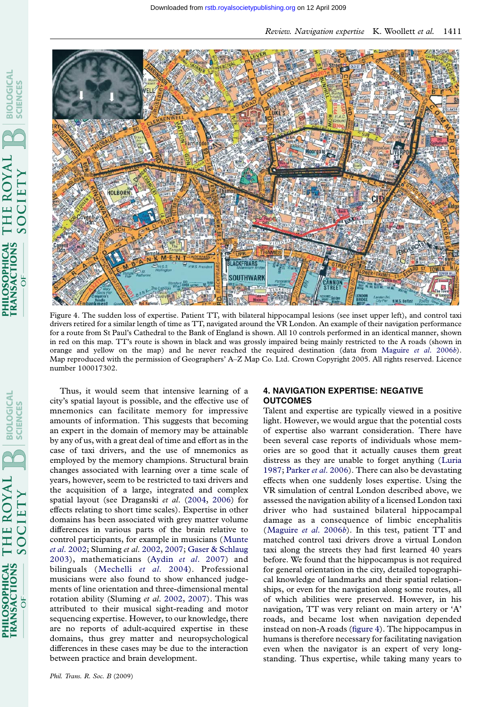**BIOLOGICAL**<br>SCIENCES

THE ROYA

**PHILOSOPHICAL**<br>TRANSACTIONS  $\overline{0}$ 



Figure 4. The sudden loss of expertise. Patient TT, with bilateral hippocampal lesions (see inset upper left), and control taxi drivers retired for a similar length of time as TT, navigated around the VR London. An example of their navigation performance for a route from St Paul's Cathedral to the Bank of England is shown. All 10 controls performed in an identical manner, shown in red on this map. TT's route is shown in black and was grossly impaired being mainly restricted to the A roads (shown in orange and yellow on the map) and he never reached the required destination (data from Maguire et al. 2006b). Map reproduced with the permission of Geographers' A–Z Map Co. Ltd. Crown Copyright 2005. All rights reserved. Licence number 100017302.

Thus, it would seem that intensive learning of a city's spatial layout is possible, and the effective use of mnemonics can facilitate memory for impressive amounts of information. This suggests that becoming an expert in the domain of memory may be attainable by any of us, with a great deal of time and effort as in the case of taxi drivers, and the use of mnemonics as employed by the memory champions. Structural brain changes associated with learning over a time scale of years, however, seem to be restricted to taxi drivers and the acquisition of a large, integrated and complex spatial layout (see Draganski et al. (2004, 2006) for effects relating to short time scales). Expertise in other domains has been associated with grey matter volume differences in various parts of the brain relative to control participants, for example in [musicians \(M](#page-9-0)unte et al. 2002; Sluming et al. 2002, 2007; Gaser & Schlaug 2003), mathematicians (Aydin et al. 2007) and bilinguals (Mechelli et al. 2004). Professional musicians were also found to show enhanced [judge](#page-9-0)[ments of li](#page-9-0)ne orientation [and three-di](#page-10-0)[mensional mental](#page-9-0) [rotati](#page-9-0)on ability (Sluming et al. 2002, [2007\). Th](#page-8-0)is was attributed to [their musical sight-read](#page-9-0)ing and motor sequencing expertise. However, to our knowledge, there are no reports of adult-acquired expertise in these domains, thus grey matter a[nd n](#page-10-0)e[urops](#page-10-0)ychological differences in these cases may be due to the interaction between practice and brain development.

### 4. NAVIGATION EXPERTISE: [NEGATIVE](#page-9-0) **OUTCOMES**

Talent and expertise are typically viewed in a positive light. However, we would argue that the potential costs of expertise also warrant consideration. There have been several case reports of individuals whose memories are so good that it actually causes them great distress as they are unable to forget anything (Luria 1987; Parker et al. 2006). There can also be devastating effects when one suddenly loses expertise. Using the VR simulation of central London described above, we assessed the navigation ability of a licensed Londo[n taxi](#page-9-0) [driver who had sust](#page-9-0)ained bilateral hippocampal damage as a consequence of limbic encephalitis (Maguire et al. 2006b). In this test, patient TT and matched control taxi drivers drove a virtual London taxi along the streets they had first learned 40 years before. We found that the hippocampus is not required f[or general orientation](#page-9-0) in the city, detailed topographical knowledge of landmarks and their spatial relationships, or even for the navigation along some routes, all of which abilities were preserved. However, in his navigation, TT was very reliant on main artery or 'A' roads, and became lost when navigation depended instead on non-A roads (figure 4). The hippocampus in humans is therefore necessary for facilitating navigation even when the navigator is an expert of very longstanding. Thus expertise, while taking many years to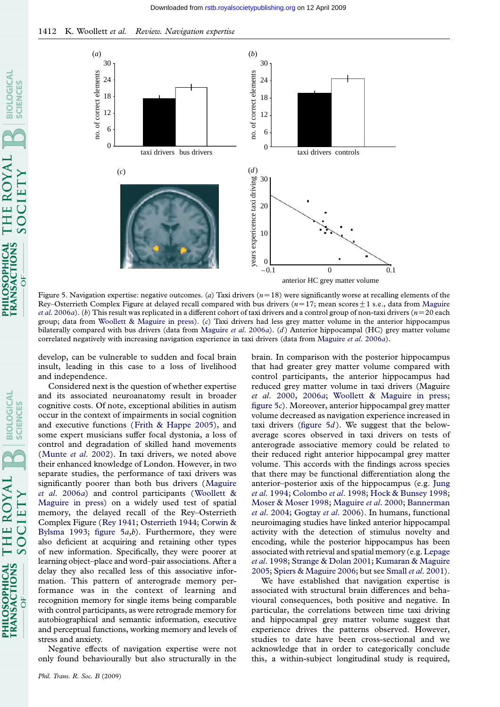

anterior HC grey matter volume

Figure 5. Navigation expertise: negative outcomes. (a) Taxi drivers  $(n=18)$  were significantly worse at recalling elements of the Rey–Osterrieth Complex Figure at delayed recall compared with bus drivers ( $n=17$ ; mean scores  $\pm 1$  s.e., data from Maguire et al. 2006a). (b) This result was replicated in a different cohort of taxi drivers and a control group of non-taxi drivers ( $n=20$  each group; data from Woollett & Maguire in press). (c) Taxi drivers had less grey matter volume in the anterior hippocampus bilaterally compared with bus drivers (data from Maguire et al. 2006a). (d) Anterior hippocampal (HC) grey matter volume correlated negatively with increasing navigation experience in taxi drivers (data from Maguire et al. 2006a).

[develop, c](#page-9-0)an be vulnerable to sudden and focal brain insult, leading [in](#page-10-0) [this](#page-10-0) [case](#page-10-0) [to](#page-10-0) [a](#page-10-0) [loss](#page-10-0) [of](#page-10-0) [livelihood](#page-9-0) and independence.

Considered next is the question of whether expertise and its associated neuroanatomy result in broader cognitive costs. Of note, exceptional abilities in autism occur in the context of impairments in social cognition and executive functions (Frith & Happe 2005), and some expert musicians suffer focal dystonia, a loss of control and degradation of skilled hand movements (Munte et al. 2002). In taxi drivers, we noted above their enhanced knowledge [of London. However,](#page-9-0) in two separate studies, the performance of taxi drivers was significantly poorer than both bus drivers (Maguire et al. 2006a) and control participants (Woollett & [Maguire](#page-9-0) [in](#page-9-0) [press\)](#page-9-0) on a widely used test of spatial memory, the delayed recall of the Rey–Osterrieth Complex Figure (Rey 1941; Osterrieth 1944; [Corwin &](#page-9-0) [Bylsma 1993](#page-9-0); figure  $5a,b$ ). Furthermore, [they were](#page-10-0) [also deficient at a](#page-10-0)cquiring and retaining other types of new information. Specifically, they were poorer at learning object–pl[ace and wo](#page-10-0)[rd–pair associatio](#page-9-0)[ns. After a](#page-8-0) [delay they als](#page-8-0)o recalled less of this associative information. This pattern of anterograde memory performance was in the context of learning and recognition memory for single items being comparable with control participants, as were retrograde memory for autobiographical and semantic information, executive and perceptual functions, working memory and levels of stress and anxiety.

Negative effects of navigation expertise were not only found behaviourally but also structurally in the brain. In comparison with the posterior hippocampus that had greater grey matter volume compared with control participa[nts, the anterior h](#page-9-0)ippocampus had reduced grey matter volume in taxi drivers (Maguire et al. 2000, 2006a; Woollett & Maguire in press; figure 5c). Moreover, anterior hippocampal grey matter volume decreased as navigation experience increased in taxi drivers (figure  $5d$ ). We suggest that the belowaverag[e sco](#page-9-0)re[s obse](#page-9-0)r[ved in taxi drivers on tests of](#page-10-0) anterograde associative memory could be related to their reduced right anterior hippocampal grey matter volume. This accords with the findings across species that there may be functional differentiation along the anterior–posterior axis of the hippocampus (e.g. Jung et al. 1994; Colombo et al. 1998; Hock & Bunsey 1998; Moser & Moser 1998; Maguire et al. 2000; Bannerman et al. 2004; Gogtay et al. 2006). In humans, functional neuroimaging studies have linked anterior hippoca[mpal](#page-9-0) [activity w](#page-9-0)i[th the detection of](#page-8-0) [stimulus novelty and](#page-9-0) [encoding, while the](#page-9-0) [posterior hippocamp](#page-9-0)[us has been](#page-8-0) [associated](#page-8-0) [with retrieval and spa](#page-9-0)tial memory (e.g.Lepage et al. 1998; Strange & Dolan 2001; Kumaran & Maguire 2005; Spiers & Maguire 2006; but see Small *et al.* 2001).

We have established that navigation expertise is associated with structural brain differences an[d beha](#page-9-0)[vioural co](#page-9-0)[nsequences, both posi](#page-10-0)t[ive and negative. In](#page-9-0) [partic](#page-9-0)[ular, the correlations b](#page-10-0)etween [time taxi drivin](#page-10-0)g and hippocampal grey matter volume suggest that experience drives the patterns observed. However, studies to date have been cross-sectional and we acknowledge that in order to categorically conclude this, a within-subject longitudinal study is required,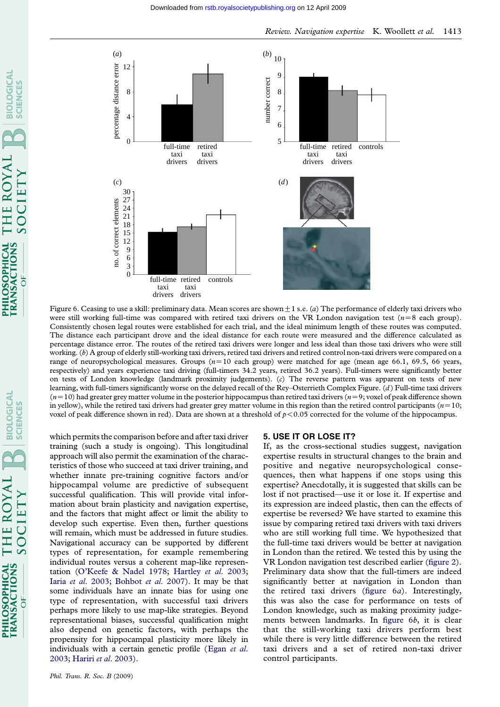<span id="page-7-0"></span>

Figure 6. Ceasing to use a skill: preliminary data. Mean scores are shown $\pm 1$  s.e. (a) The performance of elderly taxi drivers who were still working full-time was compared with retired taxi drivers on the VR London navigation test ( $n=8$  each group). Consistently chosen legal routes were established for each trial, and the ideal minimum length of these routes was computed. The distance each participant drove and the ideal distance for each route were measured and the difference calculated as percentage distance error. The routes of the retired taxi drivers were longer and less ideal than those taxi drivers who were still working. (b) A group of elderly still-working taxi drivers, retired taxi drivers and retired control non-taxi drivers were compared on a range of neuropsychological measures. Groups  $(n=10$  each group) were matched for age (mean age 66.1, 69.5, 66 years, respectively) and years experience taxi driving (full-timers 34.2 years, retired 36.2 years). Full-timers were significantly better on tests of London knowledge (landmark proximity judgements). (c) The reverse pattern was apparent on tests of new learning, with full-timers significantly worse on the delayed recall of the Rey–Osterrieth Complex Figure. (d) Full-time taxi drivers  $(n=10)$  had greater grey matter volume in the posterior hippocampus than retired taxi drivers  $(n=9)$ ; voxel of peak difference shown in yellow), while the retired taxi drivers had greater grey matter volume in this region than the retired control participants  $(n=10;$ voxel of peak difference shown in red). Data are shown at a threshold of  $p < 0.05$  corrected for the volume of the hippocampus.

which permits the comparison before and after taxi driver training (such a study is ongoing). This longitudinal approach will also permit the examination of the characteristics of those who succeed at taxi driver training, and whether innate pre-training cognitive factors and/or hippocampal volume are predictive of subsequent successful qualification. This will provide vital information about brain plasticity and navigation expertise, and the factors that might affect or limit the ability to develop such expertise. Even then, further questions will remain, which must be addressed in future studies. Navigational accuracy can be supported by different types of representation, for example remembering individual routes versus a coherent map-like representation (O'Keefe & Nadel 1978; Hartley et al. 2003; Iaria et al. 2003; Bohbot et al. 2007). It may be that some individuals have an innate bias for using one type of representation, with successful taxi drivers perhaps [more likely to use map-](#page-9-0)li[ke strategies. Beyond](#page-9-0) [representational](#page-9-0) [biases, successful qu](#page-8-0)alification might also depend on genetic factors, with perhaps the propensity for hippocampal plasticity more likely in individuals with a certain genetic profile (Egan et al. 2003; Hariri et al. 2003).

Phil. Trans. R. Soc. B (2009)

#### 5. USE IT OR LOSE IT?

If, as the cross-sectional studies suggest, navigation expertise results in structural changes to the brain and positive and negative neuropsychological consequences, then what happens if one stops using this expertise? Anecdotally, it is suggested that skills can be lost if not practised—use it or lose it. If expertise and its expression are indeed plastic, then can the effects of expertise be reversed? We have started to examine this issue by comparing retired taxi drivers with taxi drivers who are still working full time. We hypothesized that the full-time taxi drivers would be better at navigation in London than the retired. We tested this by using the VR London navigation test described earlier (figure 2). Preliminary data show that the full-timers are indeed significantly better at navigation in London than the retired taxi drivers (figure 6a). Interestingly, this was also the case for performance o[n tests o](#page-2-0)f London knowledge, such as making proximity judgements between landmarks. In figure 6b, it is clear that the still-working taxi drivers perform best while there is very little difference between the retired taxi drivers and a set of retired non-taxi driver control participants.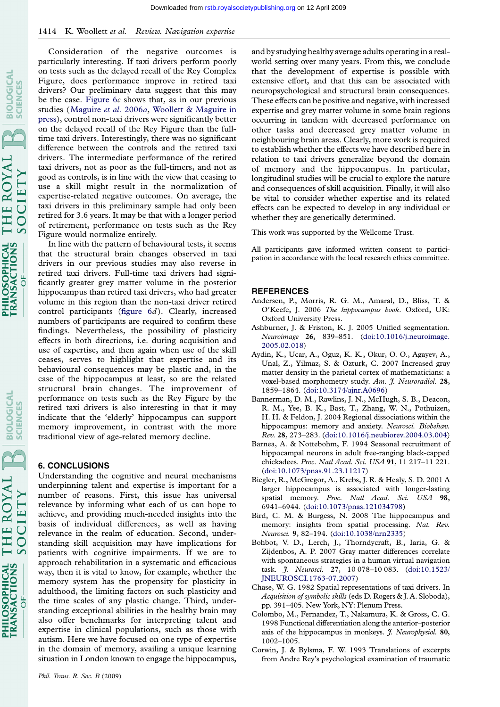**BIOLOGICAL**<br>SCIENCES

THE ROYAL<br>SOCIETY

PHILOSOPHICAL<br>TRANSACTIONS  $\overline{OC}$ 

<span id="page-8-0"></span>Consideration of the negative outcomes is particularly interesting. If taxi drivers perform poorly on tests such as the delayed recall of the Rey Complex Figure, does performance improve in retired taxi drivers? Our preliminary data suggest that this may be the case. Figure 6c shows that, as in our previous studies (Maguire et al. 2006a, Woollett & Maguire in press), control non-taxi drivers were significantly better on the delayed recall of the Rey Figure than the fulltime taxi dri[vers. Inter](#page-7-0)estingly, there was no significant differenc[e between the contr](#page-9-0)o[ls and the retired taxi](#page-10-0) [drive](#page-10-0)rs. The intermediate performance of the retired taxi drivers, not as poor as the full-timers, and not as good as controls, is in line with the view that ceasing to use a skill might result in the normalization of expertise-related negative outcomes. On average, the taxi drivers in this preliminary sample had only been retired for 3.6 years. It may be that with a longer period of retirement, performance on tests such as the Rey Figure would normalize entirely.

In line with the pattern of behavioural tests, it seems that the structural brain changes observed in taxi drivers in our previous studies may also reverse in retired taxi drivers. Full-time taxi drivers had significantly greater grey matter volume in the posterior hippocampus than retired taxi drivers, who had greater volume in this region than the non-taxi driver retired control participants (figure  $6d$ ). Clearly, increased numbers of participants are required to confirm these findings. Nevertheless, the possibility of plasticity effects in both directions, i.e. during acquisition and use of expertise, and t[hen again](#page-7-0) when use of the skill ceases, serves to highlight that expertise and its behavioural consequences may be plastic and, in the case of the hippocampus at least, so are the related structural brain changes. The improvement of performance on tests such as the Rey Figure by the retired taxi drivers is also interesting in that it may indicate that the 'elderly' hippocampus can support memory improvement, in contrast with the more traditional view of age-related memory decline.

#### 6. CONCLUSIONS

Understanding the cognitive and neural mechanisms underpinning talent and expertise is important for a number of reasons. First, this issue has universal relevance by informing what each of us can hope to achieve, and providing much-needed insights into the basis of individual differences, as well as having relevance in the realm of education. Second, understanding skill acquisition may have implications for patients with cognitive impairments. If we are to approach rehabilitation in a systematic and efficacious way, then it is vital to know, for example, whether the memory system has the propensity for plasticity in adulthood, the limiting factors on such plasticity and the time scales of any plastic change. Third, understanding exceptional abilities in the healthy brain may also offer benchmarks for interpreting talent and expertise in clinical populations, such as those with autism. Here we have focused on one type of expertise in the domain of memory, availing a unique learning situation in London known to engage the hippocampus,

[and](http://rstb.royalsocietypublishing.org/) by studying healthy average adults operating in a realworld setting over many years. From this, we conclude that the development of expertise is possible with extensive effort, and that this can be associated with neuropsychological and structural brain consequences. These effects can be positive and negative, with increased expertise and grey matter volume in some brain regions occurring in tandem with decreased performance on other tasks and decreased grey matter volume in neighbouring brain areas. Clearly, more work is required to establish whether the effects we have described here in relation to taxi drivers generalize beyond the domain of memory and the hippocampus. In particular, longitudinal studies will be crucial to explore the nature and consequences of skill acquisition. Finally, it will also be vital to consider whether expertise and its related effects can be expected to develop in any individual or whether they are genetically determined.

This work was supported by the Wellcome Trust.

All participants gave informed written consent to participation in accordance with the local research ethics committee.

#### REFERENCES

- Andersen, P., Morris, R. G. M., Amaral, D., Bliss, T. & O'Keefe, J. 2006 The hippocampus book. Oxford, UK: Oxford University Press.
- Ashburner, J. & Friston, K. J. 2005 Unified segmentation. Neuroimage 26, 839–851. (doi:10.1016/j.neuroimage. 2005.02.018)
- Aydin, K., Ucar, A., Oguz, K. K., Okur, O. O., Agayev, A., Unal, Z., Yilmaz, S. & Ozturk, C. 2007 Increased gray matter density in the parietal cortex of mathematicians: a voxel-based morphometry study. [Am.](http://dx.doi.org/doi:10.1016/j.neuroimage.2005.02.018) [J.](http://dx.doi.org/doi:10.1016/j.neuroimage.2005.02.018) [Neuroradiol.](http://dx.doi.org/doi:10.1016/j.neuroimage.2005.02.018) 28, [1859–1864.](http://dx.doi.org/doi:10.1016/j.neuroimage.2005.02.018) [\(](http://dx.doi.org/doi:10.1016/j.neuroimage.2005.02.018)doi:10.3174/ajnr.A0696)
- Bannerman, D. M., Rawlins, J. N., McHugh, S. B., Deacon, R. M., Yee, B. K., Bast, T., Zhang, W. N., Pothuizen, H. H. & Feldon, J. 2004 Regional dissociations within the hippocampus: memory and anxiety. Neurosci. Biobehav. Rev. 28, 273–[283.](http://dx.doi.org/doi:10.3174/ajnr.A0696) [\(doi:10.1016/j.neub](http://dx.doi.org/doi:10.3174/ajnr.A0696)iorev.2004.03.004)
- Barnea, A. & Nottebohm, F. 1994 Seasonal recruitment of hippocampal neurons in adult free-ranging black-capped chickadees. Proc. Natl Acad. Sci. USA 91, 11 217–11 221. (doi:10.1073/pnas.91.23.11217)
- Biegler, R., McGregor[,](http://dx.doi.org/doi:10.1016/j.neubiorev.2004.03.004) [A.,](http://dx.doi.org/doi:10.1016/j.neubiorev.2004.03.004) [Krebs,](http://dx.doi.org/doi:10.1016/j.neubiorev.2004.03.004) [J.](http://dx.doi.org/doi:10.1016/j.neubiorev.2004.03.004) [R.](http://dx.doi.org/doi:10.1016/j.neubiorev.2004.03.004) [&](http://dx.doi.org/doi:10.1016/j.neubiorev.2004.03.004) [Healy,](http://dx.doi.org/doi:10.1016/j.neubiorev.2004.03.004) [S.](http://dx.doi.org/doi:10.1016/j.neubiorev.2004.03.004) [D.](http://dx.doi.org/doi:10.1016/j.neubiorev.2004.03.004) [2001](http://dx.doi.org/doi:10.1016/j.neubiorev.2004.03.004) [A](http://dx.doi.org/doi:10.1016/j.neubiorev.2004.03.004) larger hippocampus is associated with longer-lasting spatial memory. Proc. Natl Acad. Sci. USA 98, 6941–6944. (doi:10.1073/pnas.121034798)
- Bir[d,](http://dx.doi.org/doi:10.1073/pnas.91.23.11217) [C.](http://dx.doi.org/doi:10.1073/pnas.91.23.11217) [M.](http://dx.doi.org/doi:10.1073/pnas.91.23.11217) [&](http://dx.doi.org/doi:10.1073/pnas.91.23.11217) [Burgess,](http://dx.doi.org/doi:10.1073/pnas.91.23.11217) [N.](http://dx.doi.org/doi:10.1073/pnas.91.23.11217) [2008](http://dx.doi.org/doi:10.1073/pnas.91.23.11217) The hippocampus and memory: insights from spatial processing. Nat. Rev. Neurosci. 9, 82–194. (doi:10.1038/nrn2335)
- Bohbot, V. D., Lerch, J., Thorndycraft, B., Iaria, G. & Zijdenbos, A[. P. 2007 Gray matter differe](http://dx.doi.org/doi:10.1073/pnas.121034798)nces correlate with spontaneous strategies in a human virtual navigation task. J. Neurosci. 27, 10 078–10 083. (doi:10.1523/ JNEUROSCI.1763-0[7.2007\)](http://dx.doi.org/doi:10.1038/nrn2335)
- Chase, W. G. 1982 Spatial representations of taxi drivers. In Acquisition of symbolic skills (eds D. Rogers & J. A. Sloboda), pp. 391–405. New York, NY: Plenum Press.
- Colombo, M., Fernandez, T., Nakamura, K. & [Gross,](http://dx.doi.org/doi:10.1523/JNEUROSCI.1763-07.2007) [C.](http://dx.doi.org/doi:10.1523/JNEUROSCI.1763-07.2007) [G.](http://dx.doi.org/doi:10.1523/JNEUROSCI.1763-07.2007) [1998](http://dx.doi.org/doi:10.1523/JNEUROSCI.1763-07.2007) [Functional](http://dx.doi.org/doi:10.1523/JNEUROSCI.1763-07.2007) [differentiatio](http://dx.doi.org/doi:10.1523/JNEUROSCI.1763-07.2007)n along the anterior–posterior axis of the hippocampus in monkeys. *J. Neurophysiol*. 80, 1002–1005.
- Corwin, J. & Bylsma, F. W. 1993 Translations of excerpts from Andre Rey's psychological examination of traumatic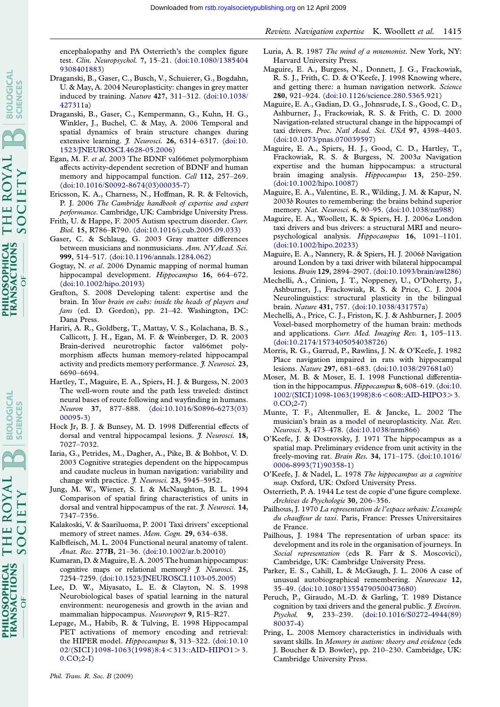<span id="page-9-0"></span>encephalopathy and PA Osterrieth's the c[omplex figure](http://rstb.royalsocietypublishing.org/) test. Clin. Neuropsychol. 7, 15–21. (doi:10.1080/1385404 9308401883)

- Draganski, B., Gaser, C., Busch, V., Schuierer, G., Bogdahn, U. & May, A. 2004 Neuroplasticity: changes in grey matter induced by training. Nature 427, 3[11–312. \(doi:10.1038/](http://dx.doi.org/doi:10.1080/13854049308401883) 427311a)
- Dr[aganski,](http://dx.doi.org/doi:10.1080/13854049308401883) [B.,](http://dx.doi.org/doi:10.1080/13854049308401883) [G](http://dx.doi.org/doi:10.1080/13854049308401883)aser, C., Kempermann, G., Kuhn, H. G., Winkler, J., Buchel, C. & May, A. 2006 Temporal and spatial dynamics of brain structure changes during extensive learning. *J. Neurosci*. **26**, 6314–6[317. \(doi:10.](http://dx.doi.org/doi:10.1038/427311a) [1523/JNE](http://dx.doi.org/doi:10.1038/427311a)UROSCI.4628-05.2006)
- Egan, M. F. et al. 2003 The BDNF val66met polymorphism affects activity-dependent secretion of BDNF and human memory and hippocampal function. Cell 112, 257-269. (doi:10.1016/S0092-8674(03)00035-7)
- Er[icsson, K. A., Charness, N., Hoffm](http://dx.doi.org/doi:10.1523/JNEUROSCI.4628-05.2006)an, R. R. & Feltovich, P. J. 2006 The Cambridge handbook of expertise and expert performance. Cambridge, UK: Cambridge University Press.
- Frith, U. & Happe, F. 2005 Autism spectrum disorder. Curr. Biol. 15[,](http://dx.doi.org/doi:10.1016/S0092-8674(03)00035-7) [R786–R790.](http://dx.doi.org/doi:10.1016/S0092-8674(03)00035-7) [\(doi:10.1016/j.cu](http://dx.doi.org/doi:10.1016/S0092-8674(03)00035-7)b.2005.09.033)
- Gaser, C. & Schlaug, G. 2003 Gray matter differences between musicians and nonmusicians. Ann. NY Acad. Sci. 999, 514–517. (doi:10.1196/annals.1284.062)
- Gogtay, N. et al. 2006 Dynamic mapping of normal human hippocampal development. [Hippocampus](http://dx.doi.org/doi:10.1016/j.cub.2005.09.033) 16, 664-672. (doi:10.1002/hipo.20193)
- Grafton, S. 2008 Developing talent: expertise and the brain. In Your b[rain](http://dx.doi.org/doi:10.1196/annals.1284.062) [on](http://dx.doi.org/doi:10.1196/annals.1284.062) [cubs:](http://dx.doi.org/doi:10.1196/annals.1284.062) [inside](http://dx.doi.org/doi:10.1196/annals.1284.062) [the](http://dx.doi.org/doi:10.1196/annals.1284.062) [heads](http://dx.doi.org/doi:10.1196/annals.1284.062) [o](http://dx.doi.org/doi:10.1196/annals.1284.062)f players and fans (ed. D. Gordon), pp. 21–42. Washington, DC: Dana Press.
- Har[iri,](http://dx.doi.org/doi:10.1002/hipo.20193) [A.](http://dx.doi.org/doi:10.1002/hipo.20193) [R.,](http://dx.doi.org/doi:10.1002/hipo.20193) [Goldberg,](http://dx.doi.org/doi:10.1002/hipo.20193) [T.,](http://dx.doi.org/doi:10.1002/hipo.20193) Mattay, V. S., Kolachana, B. S., Callicott, J. H., Egan, M. F. & Weinberger, D. R. 2003 Brain-derived neurotrophic factor val66met polymorphism affects human memory-related hippocampal activity and predicts memory performance. *J. Neurosci*. 23, 6690–6694.
- Hartley, T., Maguire, E. A., Spiers, H. J. & Burgess, N. 2003 The well-worn route and the path less traveled: distinct neural bases of route following and wayfinding in humans. Neuron 37, 877–888. (doi:10.1016/S0896-6273(03) 00095-3)
- Hock Jr, B. J. & Bunsey, M. D. 1998 Differential effects of dorsal and ventral hippocampal lesions. *J. Neurosci*. 18, 7027–7032.
- Iaria, G., Petrides, M., Dagher[,](http://dx.doi.org/doi:10.1016/S0896-6273(03)00095-3) [A.,](http://dx.doi.org/doi:10.1016/S0896-6273(03)00095-3) [Pike,](http://dx.doi.org/doi:10.1016/S0896-6273(03)00095-3) [B.](http://dx.doi.org/doi:10.1016/S0896-6273(03)00095-3) [&](http://dx.doi.org/doi:10.1016/S0896-6273(03)00095-3) [Bohbot,](http://dx.doi.org/doi:10.1016/S0896-6273(03)00095-3) [V.](http://dx.doi.org/doi:10.1016/S0896-6273(03)00095-3) [D.](http://dx.doi.org/doi:10.1016/S0896-6273(03)00095-3) [2003 Co](http://dx.doi.org/doi:10.1016/S0896-6273(03)00095-3)gnitive strategies dependent on the hippocampus and caudate nucleus in human navigation: variability and change with practice. *J. Neurosci*. 23, 5945-5952.
- Jung, M. W., Wiener, S. I. & McNaughton, B. L. 1994 Comparison of spatial firing characteristics of units in dorsal and ventral hippocampus of the rat. *J. Neurosci*. 14, 7347–7356.
- Kalakoski, V. & Saariluoma, P. 2001 Taxi drivers' exceptional memory of street names. Mem. Cogn. 29, 634–638.
- Kalbfleisch, M. L. 2004 Functional neural anatomy of talent. Anat. Rec. 277B, 21–36. (doi:10.1002/ar.b.20010)
- Kumaran, D. & Maguire, E. A. 2005 The human hippocampus: cognitive maps or relational memory? *J. Neurosci.* 25, 7254–7259. (doi:10.1523/JNEUROSCI.1103-05.2005)
- Lee, D. W., Miyasato, L. E. & Clayton, N. S. 1998 Neurobiological bases of [spatial](http://dx.doi.org/doi:10.1002/ar.b.20010) [learning](http://dx.doi.org/doi:10.1002/ar.b.20010) [in](http://dx.doi.org/doi:10.1002/ar.b.20010) [the](http://dx.doi.org/doi:10.1002/ar.b.20010) natural environment: neurogenesis and growth in the avian and mammalian hippocampus. Neuroreport 9, R15–R27.
- Lepage, M., H[abib,](http://dx.doi.org/doi:10.1523/JNEUROSCI.1103-05.2005) [R.](http://dx.doi.org/doi:10.1523/JNEUROSCI.1103-05.2005) [&](http://dx.doi.org/doi:10.1523/JNEUROSCI.1103-05.2005) [Tulving,](http://dx.doi.org/doi:10.1523/JNEUROSCI.1103-05.2005) [E.](http://dx.doi.org/doi:10.1523/JNEUROSCI.1103-05.2005) [1998](http://dx.doi.org/doi:10.1523/JNEUROSCI.1103-05.2005) [Hippocam](http://dx.doi.org/doi:10.1523/JNEUROSCI.1103-05.2005)pal PET activations of memory encoding and retrieval: the HIPER model. Hippocampus 8, 313-322. (doi:10.10  $02/(SICI)1098-1063(1998)8:4 < 313::AID-HIPO1 > 3.$ 0.CO;2-I)
- Luria, A. R. 1987 The mind of a mnemonist. New York, NY: Harvard University Press.
- Maguire, E. A., Burgess, N., Donnett, J. G., Frackowiak, R. S. J., Frith, C. D. & O'Keefe, J. 1998 Knowing where, and getting there: a human navigation network. Science 280, 921–924. (doi:10.1126/science.280.5365.921)
- Maguire, E. A., Gadian, D. G., Johnsrude, I. S., Good, C. D., Ashburner, J., Frackowiak, R. S. & Frith, C. D. 2000 Navigation-related structural change in the hippocampi of taxi drivers. Proc. Natl Acad. Sci. USA 97, 4398-4403. (doi:10.1073/p[nas.070039597\)](http://dx.doi.org/doi:10.1126/science.280.5365.921)
- Maguire, E. A., Spiers, H. J., Good, C. D., Hartley, T., Frackowiak, R. S. & Burgess, N. 2003a Navigation expertise and the human hippocampus: a structural brain imaging analysis. Hippocampus 13, 250–259. ([doi:10.1002/hipo.10087\)](http://dx.doi.org/doi:10.1073/pnas.070039597)
- Maguire, E. A., Valentine, E. R., Wilding, J. M. & Kapur, N. 2003b Routes to remembering: the brains behind superior memory. Nat. Neurosci. 6, 90–95. (doi:10.1038/nn988)
- Maguire, E. A., Woollett, K. & Spiers, H. J. 2006a London t[axi drivers and bus drive](http://dx.doi.org/doi:10.1002/hipo.10087)rs: a structural MRI and neuropsychological analysis. Hippocampus 16, 1091–1101. (doi:10.1002/hipo.20233)
- Maguire, E. A., Nannery, R. & Spiers, [H. J. 2006](http://dx.doi.org/doi:10.1038/nn988)b Navigation around London by a taxi driver with bilateral hippocampal lesions. Brain 129, 2894–2907. (doi:10.1093/brain/awl286)
- Mechelli, A., Crinion, J. T., Noppeney, U., O'Doherty, J., [Ashburner, J., Frackowi](http://dx.doi.org/doi:10.1002/hipo.20233)ak, R. S. & Price, C. J. 2004 Neurolinguistics: structural plasticity in the bilingual brain. Nature 431, 757. (doi:10.1038/431757a)
- Mechelli, A., Price, C. J., Friston, [K. J. & Ashburner, J. 2005](http://dx.doi.org/doi:10.1093/brain/awl286) Voxel-based morphometry of the human brain: methods and applications. Curr. Med. Imaging Rev. 1, 105–113. (doi:10.2174/1573405054038726)
- Morris, R. G., Garrud, P., [Rawlins, J. N. & O'Kee](http://dx.doi.org/doi:10.1038/431757a)fe, J. 1982 Place navigation impaired in rats with hippocampal lesions. Nature 297, 681–683. (doi:10.1038/297681a0)
- Moser, M. B. & Moser, E. I. 1998 Functional differentiat[ion in the hippocampus.](http://dx.doi.org/doi:10.2174/1573405054038726) Hippocampus 8, 608–619. (doi:10. 1002/(SICI)1098-1063(1998)8:6 < 608::AID-HIPO3 > 3. 0.CO;2-7)
- Munte, T. F., Altenmuller, E. [& Jancke, L. 2002 T](http://dx.doi.org/doi:10.1038/297681a0)he musician's brain as a model of neuroplasticity. N[at.](http://dx.doi.org/doi:10.1002/(SICI)1098-1063(1998)8:6%3C608::AID-HIPO3%3E3.0.CO;2-7) [Rev.](http://dx.doi.org/doi:10.1002/(SICI)1098-1063(1998)8:6%3C608::AID-HIPO3%3E3.0.CO;2-7) Neurosci. 3, 473–478. (doi:10.1038/nrm866)
- O'[Keefe, J. & Dostrovsky, J. 1971 The hippocampus as a](http://dx.doi.org/doi:10.1002/(SICI)1098-1063(1998)8:6%3C608::AID-HIPO3%3E3.0.CO;2-7) [spatial ma](http://dx.doi.org/doi:10.1002/(SICI)1098-1063(1998)8:6%3C608::AID-HIPO3%3E3.0.CO;2-7)p. Preliminary evidence from unit activity in the freely-moving rat. Brain Res. 34, 171–175. (doi:10.1016/ 0006-8993(71)90358-1)
- O'Keefe, J. & Nadel, L. 1978 [The hippocampus](http://dx.doi.org/doi:10.1038/nrm866) as a cognitive map. Oxford, UK: Oxford University Press.
- Osterrieth, P. A. 1944 Le test de copie d'une fig[ure](http://dx.doi.org/doi:10.1016/0006-8993(71)90358-1) [complexe.](http://dx.doi.org/doi:10.1016/0006-8993(71)90358-1) Archives de Psychologie 30, 206–356.
- Pa[ilhous, J. 1970](http://dx.doi.org/doi:10.1016/0006-8993(71)90358-1) La representation de l'espace urbain: L'example du chauffeur de taxi. Paris, France: Presses Universitaires de France.
- Pailhous, J. 1984 The representation of urban space: its development and its role in the organisation of journeys. In Social representation (eds R. Farr & S. Moscovici), Cambridge, UK: Cambridge University Press.
- Parker, E. S., Cahill, L. & McGaugh, J. L. 2006 A case of unusual autobiographical remembering. Neurocase 12, 35–49. (doi:10.1080/13554790500473680)
- Peruch, P., Giraudo, M.-D. & Garling, T. 1989 Distance cognition by taxi drivers and the general public. *J. Environ*. Psychol. 9, 233–239. (doi:10.1016/S0272-4944(89) 80037-4)
- Pring, L. [2008 Memory characteristics in in](http://dx.doi.org/doi:10.1080/13554790500473680)dividuals with savant skills. In Memory in autism: theory and evidence (eds J. Boucher & D. Bowler), p[p.](http://dx.doi.org/doi:10.1016/S0272-4944(89)80037-4) [210–230.](http://dx.doi.org/doi:10.1016/S0272-4944(89)80037-4) [Cambridge,](http://dx.doi.org/doi:10.1016/S0272-4944(89)80037-4) [UK:](http://dx.doi.org/doi:10.1016/S0272-4944(89)80037-4) [Cambrid](http://dx.doi.org/doi:10.1016/S0272-4944(89)80037-4)ge University Press.

**BIOLOGICAL**<br>SCIENCES

THE ROYAL

**PHILOSOPHICAL**<br>TRANSACTIONS  $\overline{0}$